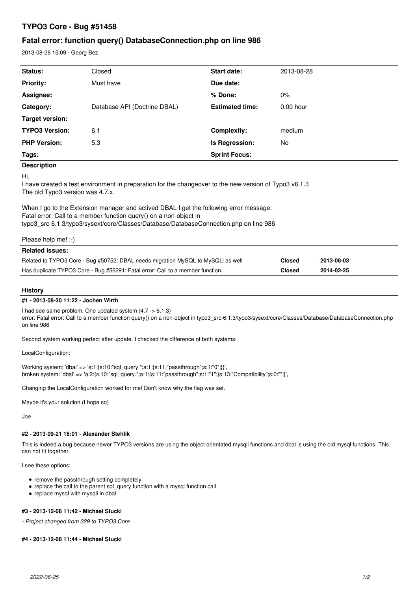# **TYPO3 Core - Bug #51458**

# **Fatal error: function query() DatabaseConnection.php on line 986**

2013-08-28 15:09 - Georg Bez

| <b>Status:</b>                                                                                                                                                                                                                                                                                                                                                                                                                    | Closed                       | <b>Start date:</b>     | 2013-08-28    |            |
|-----------------------------------------------------------------------------------------------------------------------------------------------------------------------------------------------------------------------------------------------------------------------------------------------------------------------------------------------------------------------------------------------------------------------------------|------------------------------|------------------------|---------------|------------|
| <b>Priority:</b>                                                                                                                                                                                                                                                                                                                                                                                                                  | Must have                    | Due date:              |               |            |
| Assignee:                                                                                                                                                                                                                                                                                                                                                                                                                         |                              | % Done:                | 0%            |            |
| Category:                                                                                                                                                                                                                                                                                                                                                                                                                         | Database API (Doctrine DBAL) | <b>Estimated time:</b> | $0.00$ hour   |            |
| <b>Target version:</b>                                                                                                                                                                                                                                                                                                                                                                                                            |                              |                        |               |            |
| <b>TYPO3 Version:</b>                                                                                                                                                                                                                                                                                                                                                                                                             | 6.1                          | Complexity:            | medium        |            |
| <b>PHP Version:</b>                                                                                                                                                                                                                                                                                                                                                                                                               | 5.3                          | Is Regression:         | No            |            |
| Tags:                                                                                                                                                                                                                                                                                                                                                                                                                             |                              | <b>Sprint Focus:</b>   |               |            |
| <b>Description</b>                                                                                                                                                                                                                                                                                                                                                                                                                |                              |                        |               |            |
| Ħіi,<br>I have created a test environment in preparation for the changeover to the new version of Typo3 v6.1.3<br>The old Typo3 version was 4.7.x.<br>When I go to the Extension manager and actived DBAL I get the following error message:<br>Fatal error: Call to a member function query() on a non-object in<br>typo3_src-6.1.3/typo3/sysext/core/Classes/Database/DatabaseConnection.php on line 986<br>Please help me! :-) |                              |                        |               |            |
| <b>Related issues:</b>                                                                                                                                                                                                                                                                                                                                                                                                            |                              |                        |               |            |
| Related to TYPO3 Core - Bug #50752: DBAL needs migration MySQL to MySQLi as well                                                                                                                                                                                                                                                                                                                                                  |                              |                        | <b>Closed</b> | 2013-08-03 |
| Has duplicate TYPO3 Core - Bug #56291: Fatal error: Call to a member function                                                                                                                                                                                                                                                                                                                                                     |                              |                        | <b>Closed</b> | 2014-02-25 |

## **History**

#### **#1 - 2013-08-30 11:22 - Jochen Wirth**

I had see same problem. One updated system (4.7 -> 6.1.3) error: Fatal error: Call to a member function query() on a non-object in typo3\_src-6.1.3/typo3/sysext/core/Classes/Database/DatabaseConnection.php on line 986

Second system working perfect after update. I checked the difference of both systems:

LocalConfiguration:

Working system: 'dbal' => 'a:1:{s:10:"sql\_query.";a:1:{s:11:"passthrough";s:1:"0";}}', broken system: 'dbal' => 'a:2:{s:10:"sql\_query.";a:1:{s:11:"passthrough";s:1:"1";}s:13:"Compatibility";s:0:"";}',

Changing the LocalConfiguration worked for me! Don't know why the flag was set.

Maybe it's your solution (I hope so)

Joe

## **#2 - 2013-09-21 16:01 - Alexander Stehlik**

This is indeed a bug because newer TYPO3 versions are using the object orientated mysqli functions and dbal is using the old mysql functions. This can not fit together.

I see these options:

- remove the passthrough setting completely
- replace the call to the parent sql\_query function with a mysql function call
- replace mysql with mysqli in dbal

### **#3 - 2013-12-08 11:42 - Michael Stucki**

*- Project changed from 329 to TYPO3 Core*

#### **#4 - 2013-12-08 11:44 - Michael Stucki**